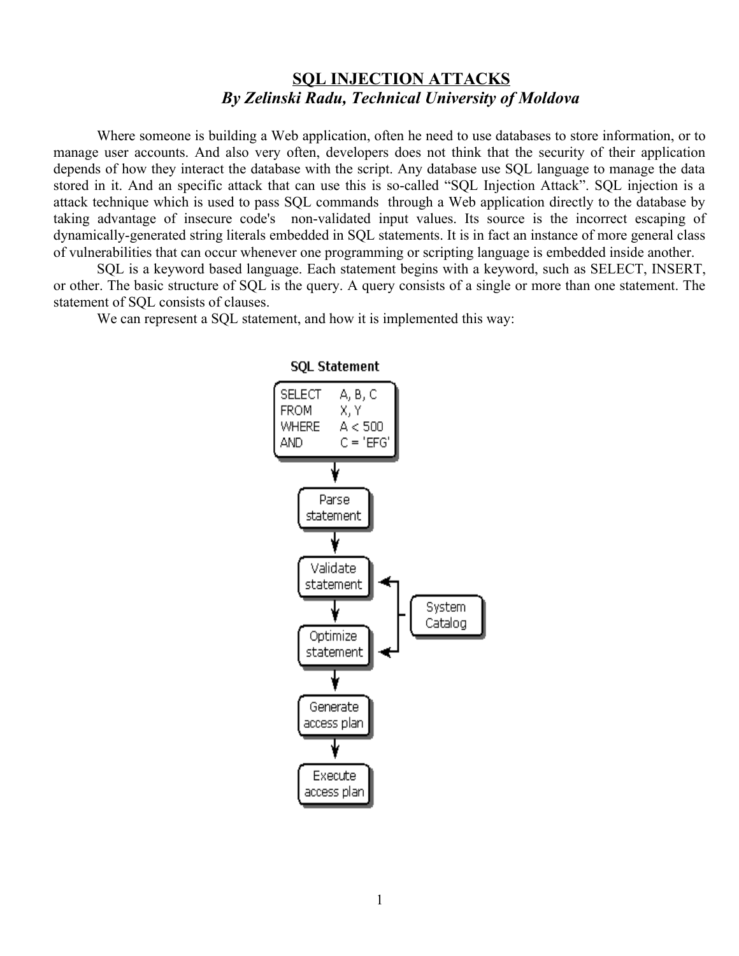## **SQL INJECTION ATTACKS** *By Zelinski Radu, Technical University of Moldova*

Where someone is building a Web application, often he need to use databases to store information, or to manage user accounts. And also very often, developers does not think that the security of their application depends of how they interact the database with the script. Any database use SQL language to manage the data stored in it. And an specific attack that can use this is so-called "SQL Injection Attack". SQL injection is a attack technique which is used to pass SQL commands through a Web application directly to the database by taking advantage of insecure code's non-validated input values. Its source is the incorrect escaping of dynamically-generated string literals embedded in SQL statements. It is in fact an instance of more general class of vulnerabilities that can occur whenever one programming or scripting language is embedded inside another.

SQL is a keyword based language. Each statement begins with a keyword, such as SELECT, INSERT, or other. The basic structure of SQL is the query. A query consists of a single or more than one statement. The statement of SQL consists of clauses.

We can represent a SQL statement, and how it is implemented this way:



## **SOL Statement**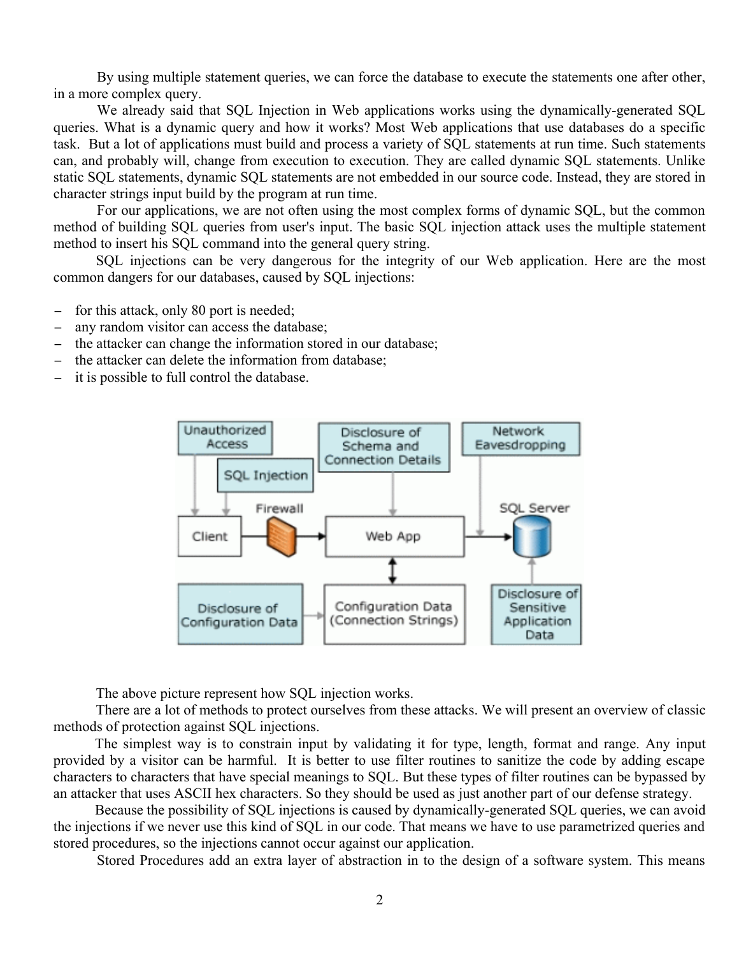By using multiple statement queries, we can force the database to execute the statements one after other, in a more complex query.

We already said that SQL Injection in Web applications works using the dynamically-generated SQL queries. What is a dynamic query and how it works? Most Web applications that use databases do a specific task. But a lot of applications must build and process a variety of SQL statements at run time. Such statements can, and probably will, change from execution to execution. They are called dynamic SQL statements. Unlike static SQL statements, dynamic SQL statements are not embedded in our source code. Instead, they are stored in character strings input build by the program at run time.

For our applications, we are not often using the most complex forms of dynamic SQL, but the common method of building SQL queries from user's input. The basic SQL injection attack uses the multiple statement method to insert his SQL command into the general query string.

SQL injections can be very dangerous for the integrity of our Web application. Here are the most common dangers for our databases, caused by SQL injections:

- − for this attack, only 80 port is needed;
- − any random visitor can access the database;
- the attacker can change the information stored in our database;
- − the attacker can delete the information from database;
- − it is possible to full control the database.



The above picture represent how SQL injection works.

There are a lot of methods to protect ourselves from these attacks. We will present an overview of classic methods of protection against SQL injections.

The simplest way is to constrain input by validating it for type, length, format and range. Any input provided by a visitor can be harmful. It is better to use filter routines to sanitize the code by adding escape characters to characters that have special meanings to SQL. But these types of filter routines can be bypassed by an attacker that uses ASCII hex characters. So they should be used as just another part of our defense strategy.

Because the possibility of SQL injections is caused by dynamically-generated SQL queries, we can avoid the injections if we never use this kind of SQL in our code. That means we have to use parametrized queries and stored procedures, so the injections cannot occur against our application.

Stored Procedures add an extra layer of abstraction in to the design of a software system. This means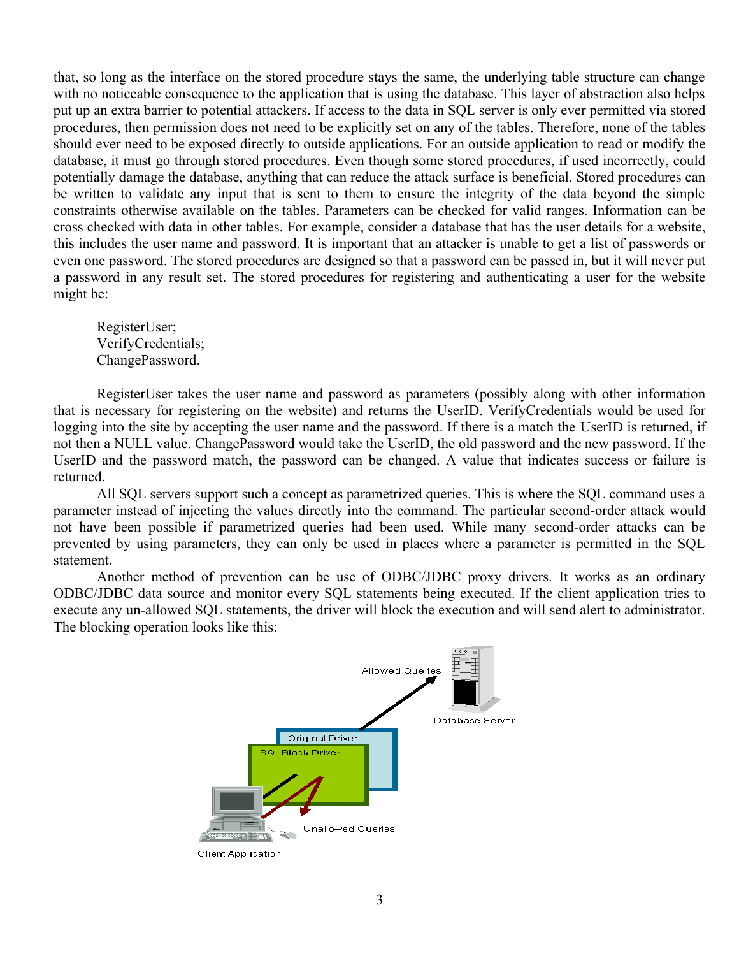that, so long as the interface on the stored procedure stays the same, the underlying table structure can change with no noticeable consequence to the application that is using the database. This layer of abstraction also helps put up an extra barrier to potential attackers. If access to the data in SQL server is only ever permitted via stored procedures, then permission does not need to be explicitly set on any of the tables. Therefore, none of the tables should ever need to be exposed directly to outside applications. For an outside application to read or modify the database, it must go through stored procedures. Even though some stored procedures, if used incorrectly, could potentially damage the database, anything that can reduce the attack surface is beneficial. Stored procedures can be written to validate any input that is sent to them to ensure the integrity of the data beyond the simple constraints otherwise available on the tables. Parameters can be checked for valid ranges. Information can be cross checked with data in other tables. For example, consider a database that has the user details for a website, this includes the user name and password. It is important that an attacker is unable to get a list of passwords or even one password. The stored procedures are designed so that a password can be passed in, but it will never put a password in any result set. The stored procedures for registering and authenticating a user for the website might be:

RegisterUser; VerifyCredentials; ChangePassword.

RegisterUser takes the user name and password as parameters (possibly along with other information that is necessary for registering on the website) and returns the UserID. VerifyCredentials would be used for logging into the site by accepting the user name and the password. If there is a match the UserID is returned, if not then a NULL value. ChangePassword would take the UserID, the old password and the new password. If the UserID and the password match, the password can be changed. A value that indicates success or failure is returned.

All SQL servers support such a concept as parametrized queries. This is where the SQL command uses a parameter instead of injecting the values directly into the command. The particular second-order attack would not have been possible if parametrized queries had been used. While many second-order attacks can be prevented by using parameters, they can only be used in places where a parameter is permitted in the SQL statement.

Another method of prevention can be use of ODBC/JDBC proxy drivers. It works as an ordinary ODBC/JDBC data source and monitor every SQL statements being executed. If the client application tries to execute any un-allowed SQL statements, the driver will block the execution and will send alert to administrator. The blocking operation looks like this:



**Client Application**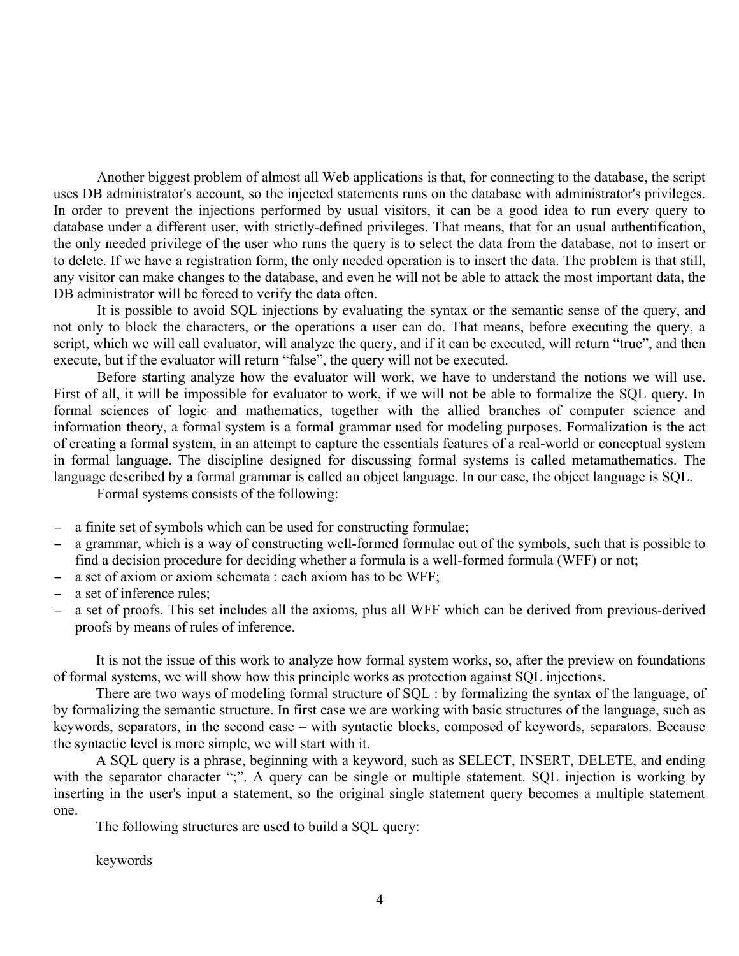Another biggest problem of almost all Web applications is that, for connecting to the database, the script uses DB administrator's account, so the injected statements runs on the database with administrator's privileges. In order to prevent the injections performed by usual visitors, it can be a good idea to run every query to database under a different user, with strictly-defined privileges. That means, that for an usual authentification, the only needed privilege of the user who runs the query is to select the data from the database, not to insert or to delete. If we have a registration form, the only needed operation is to insert the data. The problem is that still, any visitor can make changes to the database, and even he will not be able to attack the most important data, the DB administrator will be forced to verify the data often.

It is possible to avoid SQL injections by evaluating the syntax or the semantic sense of the query, and not only to block the characters, or the operations a user can do. That means, before executing the query, a script, which we will call evaluator, will analyze the query, and if it can be executed, will return "true", and then execute, but if the evaluator will return "false", the query will not be executed.

Before starting analyze how the evaluator will work, we have to understand the notions we will use. First of all, it will be impossible for evaluator to work, if we will not be able to formalize the SQL query. In formal sciences of logic and mathematics, together with the allied branches of computer science and information theory, a formal system is a formal grammar used for modeling purposes. Formalization is the act of creating a formal system, in an attempt to capture the essentials features of a real-world or conceptual system in formal language. The discipline designed for discussing formal systems is called metamathematics. The language described by a formal grammar is called an object language. In our case, the object language is SQL.

Formal systems consists of the following:

- − a finite set of symbols which can be used for constructing formulae;
- − a grammar, which is a way of constructing well-formed formulae out of the symbols, such that is possible to find a decision procedure for deciding whether a formula is a well-formed formula (WFF) or not;
- − a set of axiom or axiom schemata : each axiom has to be WFF;
- − a set of inference rules;
- a set of proofs. This set includes all the axioms, plus all WFF which can be derived from previous-derived proofs by means of rules of inference.

It is not the issue of this work to analyze how formal system works, so, after the preview on foundations of formal systems, we will show how this principle works as protection against SQL injections.

There are two ways of modeling formal structure of SQL : by formalizing the syntax of the language, of by formalizing the semantic structure. In first case we are working with basic structures of the language, such as keywords, separators, in the second case – with syntactic blocks, composed of keywords, separators. Because the syntactic level is more simple, we will start with it.

A SQL query is a phrase, beginning with a keyword, such as SELECT, INSERT, DELETE, and ending with the separator character ";". A query can be single or multiple statement. SQL injection is working by inserting in the user's input a statement, so the original single statement query becomes a multiple statement one.

The following structures are used to build a SQL query:

keywords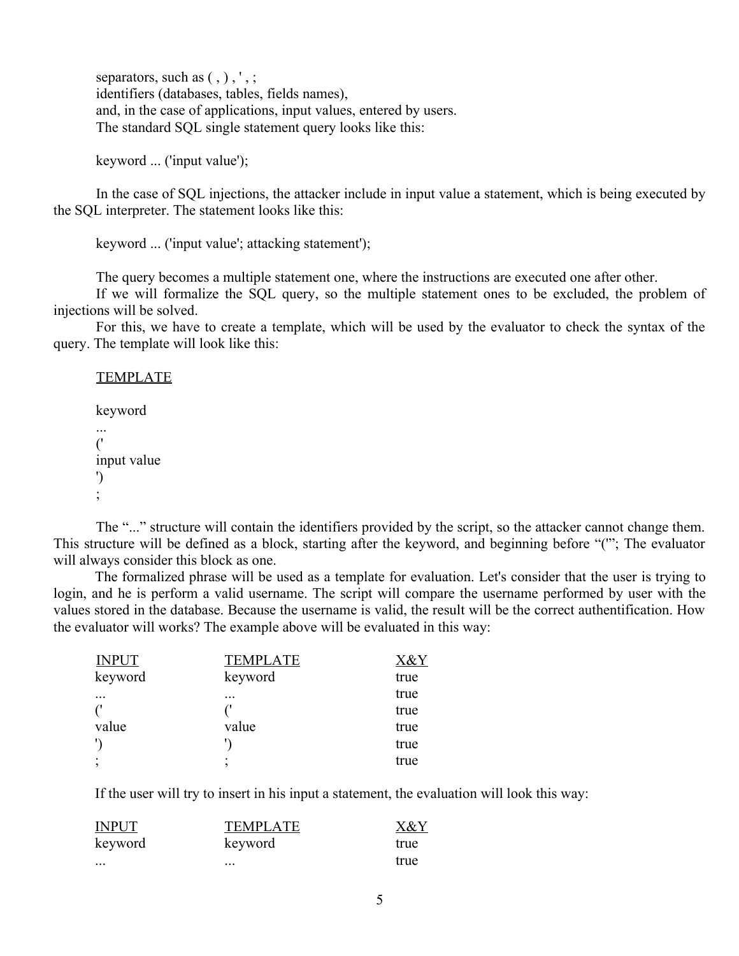separators, such as  $($ ,  $)$ ,  $',$ ; identifiers (databases, tables, fields names), and, in the case of applications, input values, entered by users. The standard SQL single statement query looks like this:

keyword ... ('input value');

In the case of SQL injections, the attacker include in input value a statement, which is being executed by the SQL interpreter. The statement looks like this:

keyword ... ('input value'; attacking statement');

The query becomes a multiple statement one, where the instructions are executed one after other.

If we will formalize the SQL query, so the multiple statement ones to be excluded, the problem of injections will be solved.

For this, we have to create a template, which will be used by the evaluator to check the syntax of the query. The template will look like this:

**TEMPLATE** keyword ... ('

```
input value
')
;
```
The "..." structure will contain the identifiers provided by the script, so the attacker cannot change them. This structure will be defined as a block, starting after the keyword, and beginning before "('"; The evaluator will always consider this block as one.

The formalized phrase will be used as a template for evaluation. Let's consider that the user is trying to login, and he is perform a valid username. The script will compare the username performed by user with the values stored in the database. Because the username is valid, the result will be the correct authentification. How the evaluator will works? The example above will be evaluated in this way:

| <b>INPUT</b> | <b>TEMPLATE</b> | X&Y  |
|--------------|-----------------|------|
| keyword      | keyword         | true |
| $\ddotsc$    | $\cdots$        | true |
|              |                 | true |
| value        | value           | true |
| $\mathbf{L}$ |                 | true |
|              |                 | true |

If the user will try to insert in his input a statement, the evaluation will look this way:

| <b>INPUT</b> | <b>TEMPLATE</b> | X&Y  |
|--------------|-----------------|------|
| keyword      | keyword         | true |
| $\cdots$     | $\cdots$        | true |